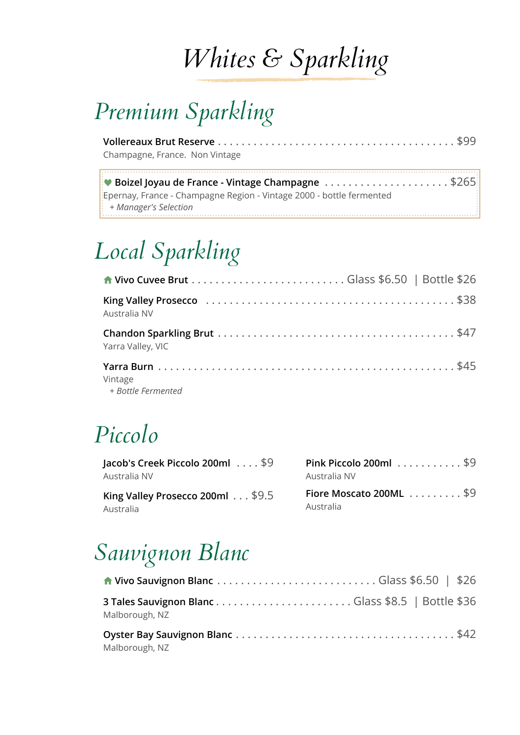# *Whites & Sparkling*

### *Premium Sparkling*

**Vollereaux Brut Reserve** . . . . . . . . . . . . . . . . . . . . . . . . . . . . . . . . . . . . . . . . \$99 Champagne, France. Non Vintage

Ÿ **Boizel Joyau de France - Vintage Champagne** . . . . . . . . . . . . . . . . . . . . . \$265 Epernay, France - Champagne Region - Vintage 2000 - bottle fermented *+ Manager's Selection* 

## *Local Sparkling*

| Australia NV                  |  |
|-------------------------------|--|
| Yarra Valley, VIC             |  |
| Vintage<br>+ Bottle Fermented |  |

#### *Piccolo*

| Jacob's Creek Piccolo 200ml $\ldots$ \$9 | Pink Piccolo 200ml $\ldots \ldots \ldots$ \$9  |
|------------------------------------------|------------------------------------------------|
| Australia NV                             | Australia NV                                   |
| King Valley Prosecco 200ml $\dots$ \$9.5 | Fiore Moscato 200ML $\ldots \ldots \ldots$ \$9 |
| Australia                                | Australia                                      |

#### *Sauvignon Blanc*

| Malborough, NZ |  |  |
|----------------|--|--|
| Malborough, NZ |  |  |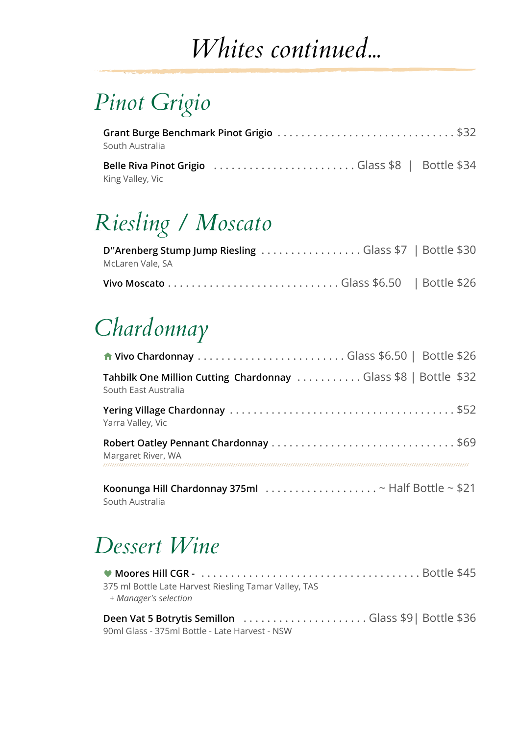# *Whites continued...*

### *Pinot Grigio*

| South Australia  | Grant Burge Benchmark Pinot Grigio \$32 |
|------------------|-----------------------------------------|
|                  |                                         |
| King Valley, Vic |                                         |

## *Riesling / Moscato*

| D"Arenberg Stump Jump Riesling Glass \$7   Bottle \$30 |  |
|--------------------------------------------------------|--|
| McLaren Vale, SA                                       |  |
|                                                        |  |

### *Chardonnay*

| Tahbilk One Million Cutting Chardonnay Glass \$8   Bottle \$32<br>South East Australia      |  |
|---------------------------------------------------------------------------------------------|--|
| Yarra Valley, Vic                                                                           |  |
| Margaret River, WA                                                                          |  |
| Koonunga Hill Chardonnay 375ml $\ldots \ldots \ldots \ldots \ldots \sim$ Half Bottle ~ \$21 |  |

South Australia

#### *Dessert Wine*

| 375 ml Bottle Late Harvest Riesling Tamar Valley, TAS<br>+ Manager's selection |  |
|--------------------------------------------------------------------------------|--|
|                                                                                |  |
| 90ml Glass - 375ml Bottle - Late Harvest - NSW                                 |  |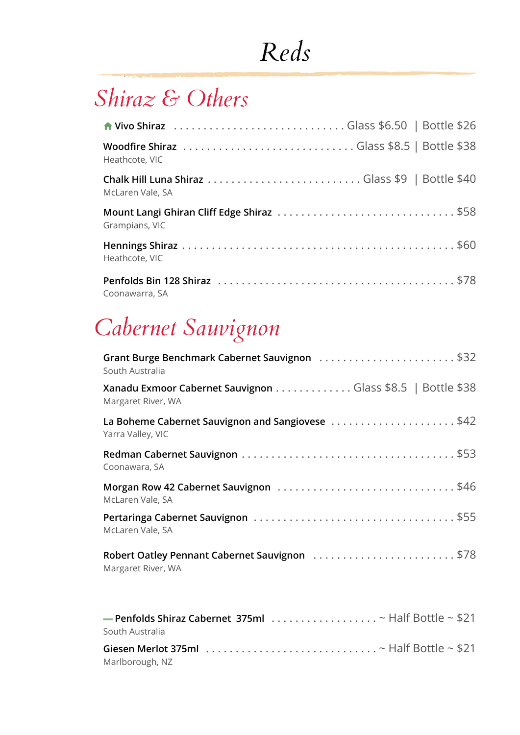# *Reds*

#### *Shiraz & Others*

| Heathcote, VIC   |
|------------------|
| McLaren Vale, SA |
| Grampians, VIC   |
| Heathcote, VIC   |
| Coonawarra, SA   |

## *Cabernet Sauvignon*

| Grant Burge Benchmark Cabernet Sauvignon \$32<br>South Australia                                     |
|------------------------------------------------------------------------------------------------------|
| Xanadu Exmoor Cabernet Sauvignon Glass \$8.5   Bottle \$38<br>Margaret River, WA                     |
| La Boheme Cabernet Sauvignon and Sangiovese \$42<br>Yarra Valley, VIC                                |
| Coonawara, SA                                                                                        |
| McLaren Vale, SA                                                                                     |
| McLaren Vale, SA                                                                                     |
| Robert Oatley Pennant Cabernet Sauvignon \$78<br>Margaret River, WA                                  |
| $=$ Penfolds Shiraz Cabernet 375ml $\ldots \ldots \ldots \ldots \ldots \sim$ Half Bottle $\sim$ \$21 |

| South Australia |                                                                                                                     |
|-----------------|---------------------------------------------------------------------------------------------------------------------|
|                 | Giesen Merlot 375ml $\ldots \ldots \ldots \ldots \ldots \ldots \ldots \ldots \ldots$ $\sim$ Half Bottle $\sim$ \$21 |
| Marlborough, NZ |                                                                                                                     |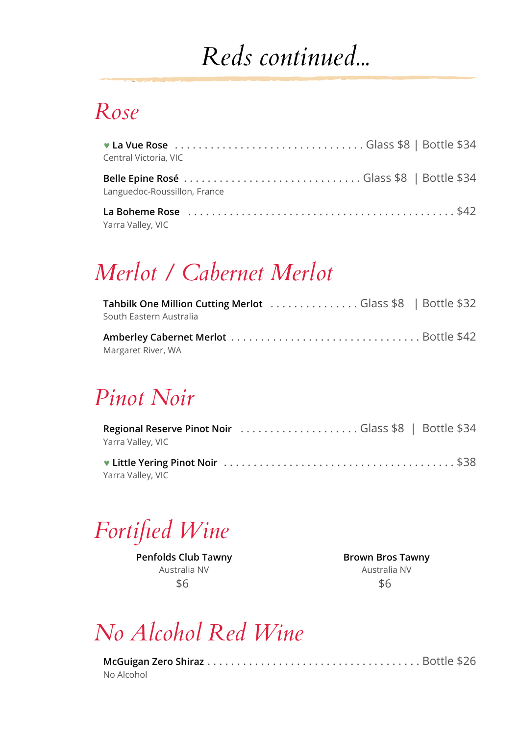## *Reds continued...*

#### *Rose*

| Central Victoria, VIC        |  |
|------------------------------|--|
| Languedoc-Roussillon, France |  |
| Yarra Valley, VIC            |  |

### *Merlot / Cabernet Merlot*

| Tahbilk One Million Cutting Merlot Glass \$8   Bottle \$32<br>South Eastern Australia |  |
|---------------------------------------------------------------------------------------|--|
| Margaret River, WA                                                                    |  |

#### *Pinot Noir*

| Yarra Valley, VIC |  |
|-------------------|--|
| Yarra Valley, VIC |  |
|                   |  |

*Fortified Wine*

**Penfolds Club Tawny** Australia NV \$6

**Brown Bros Tawny** Australia NV \$6

#### *No Alcohol Red Wine*

| No Alcohol |  |
|------------|--|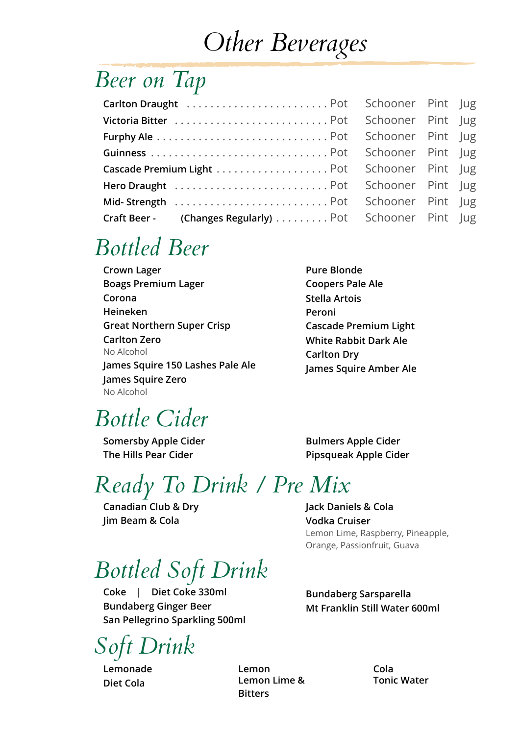## *Other Beverages*

#### *Beer on Tap*

| Craft Beer - (Changes Regularly) Pot Schooner Pint Jug |  |  |
|--------------------------------------------------------|--|--|

#### *Bottled Beer*

**Pure Blonde Coopers Pale Ale Corona Stella Artois Peroni Cascade Premium Light White Rabbit Dark Ale Carlton Dry James Squire Amber Ale**

#### *Bottle Cider*

**Somersby Apple Cider Bulmers Apple Cider** 

**The Hills Pear Cider Pipsqueak Apple Cider**

### *Ready To Drink / Pre Mix*

**Canadian Club & Dry Jack Daniels & Cola Jim Beam & Cola Vodka Cruiser**

#### *Bottled Soft Drink*

**Coke | Diet Coke 330ml Bundaberg Sarsparella Bundaberg Ginger Beer Mt Franklin Still Water 600ml San Pellegrino Sparkling 500ml**

*Soft Drink*

**Lemonade Lemon Cola Diet Cola Lemon Lime & Bitters**

Lemon Lime, Raspberry, Pineapple,

Orange, Passionfruit, Guava

**Tonic Water**